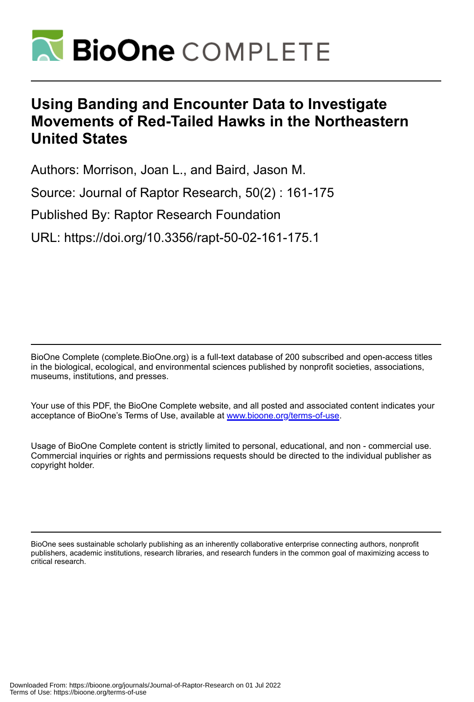

# **Using Banding and Encounter Data to Investigate Movements of Red-Tailed Hawks in the Northeastern United States**

Authors: Morrison, Joan L., and Baird, Jason M.

Source: Journal of Raptor Research, 50(2) : 161-175

Published By: Raptor Research Foundation

URL: https://doi.org/10.3356/rapt-50-02-161-175.1

BioOne Complete (complete.BioOne.org) is a full-text database of 200 subscribed and open-access titles in the biological, ecological, and environmental sciences published by nonprofit societies, associations, museums, institutions, and presses.

Your use of this PDF, the BioOne Complete website, and all posted and associated content indicates your acceptance of BioOne's Terms of Use, available at www.bioone.org/terms-of-use.

Usage of BioOne Complete content is strictly limited to personal, educational, and non - commercial use. Commercial inquiries or rights and permissions requests should be directed to the individual publisher as copyright holder.

BioOne sees sustainable scholarly publishing as an inherently collaborative enterprise connecting authors, nonprofit publishers, academic institutions, research libraries, and research funders in the common goal of maximizing access to critical research.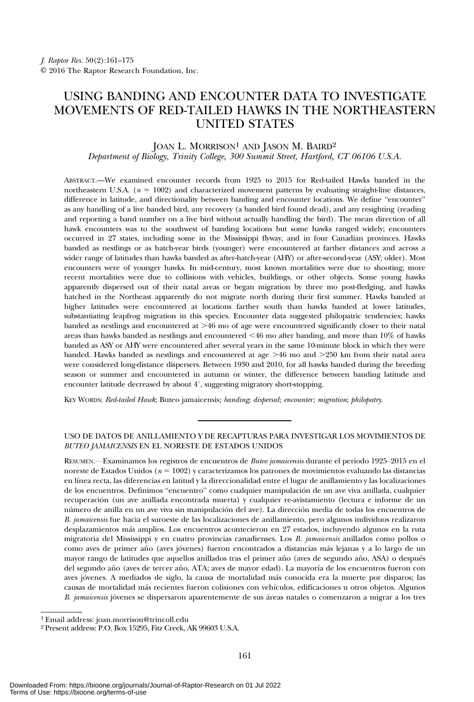# USING BANDING AND ENCOUNTER DATA TO INVESTIGATE MOVEMENTS OF RED-TAILED HAWKS IN THE NORTHEASTERN UNITED STATES

## JOAN L. MORRISON<sup>1</sup> AND JASON M. BAIRD<sup>2</sup> Department of Biology, Trinity College, 300 Summit Street, Hartford, CT 06106 U.S.A.

ABSTRACT.—We examined encounter records from 1925 to 2015 for Red-tailed Hawks banded in the northeastern U.S.A. ( $n = 1002$ ) and characterized movement patterns by evaluating straight-line distances, difference in latitude, and directionality between banding and encounter locations. We define "encounter" as any handling of a live banded bird, any recovery (a banded bird found dead), and any resighting (reading and reporting a band number on a live bird without actually handling the bird). The mean direction of all hawk encounters was to the southwest of banding locations but some hawks ranged widely; encounters occurred in 27 states, including some in the Mississippi flyway, and in four Canadian provinces. Hawks banded as nestlings or as hatch-year birds (younger) were encountered at farther distances and across a wider range of latitudes than hawks banded as after-hatch-year (AHY) or after-second-year (ASY; older). Most encounters were of younger hawks. In mid-century, most known mortalities were due to shooting; more recent mortalities were due to collisions with vehicles, buildings, or other objects. Some young hawks apparently dispersed out of their natal areas or began migration by three mo post-fledging, and hawks hatched in the Northeast apparently do not migrate north during their first summer. Hawks banded at higher latitudes were encountered at locations farther south than hawks banded at lower latitudes, substantiating leapfrog migration in this species. Encounter data suggested philopatric tendencies; hawks banded as nestlings and encountered at  $>46$  mo of age were encountered significantly closer to their natal areas than hawks banded as nestlings and encountered  $<46$  mo after banding, and more than  $10\%$  of hawks banded as ASY or AHY were encountered after several years in the same 10-minute block in which they were banded. Hawks banded as nestlings and encountered at age  $>46$  mo and  $>250$  km from their natal area were considered long-distance dispersers. Between 1930 and 2010, for all hawks banded during the breeding season or summer and encountered in autumn or winter, the difference between banding latitude and encounter latitude decreased by about 4°, suggesting migratory short-stopping.

KEY WORDS: Red-tailed Hawk; Buteo jamaicensis; banding; dispersal; encounter; migration; philopatry.

#### USO DE DATOS DE ANILLAMIENTO Y DE RECAPTURAS PARA INVESTIGAR LOS MOVIMIENTOS DE BUTEO JAMAICENSIS EN EL NORESTE DE ESTADOS UNIDOS

RESUMEN.—Examinamos los registros de encuentros de Buteo jamaicensis durante el periodo 1925–2015 en el noreste de Estados Unidos ( $n = 1002$ ) y caracterizamos los patrones de movimientos evaluando las distancias en línea recta, las diferencias en latitud y la direccionalidad entre el lugar de anillamiento y las localizaciones de los encuentros. Definimos "encuentro" como cualquier manipulación de un ave viva anillada, cualquier recuperación (un ave anillada encontrada muerta) y cualquier re-avistamiento (lectura e informe de un número de anilla en un ave viva sin manipulación del ave). La dirección media de todas los encuentros de B. jamaicensis fue hacia el suroeste de las localizaciones de anillamiento, pero algunos individuos realizaron desplazamientos más amplios. Los encuentros acontecieron en 27 estados, incluyendo algunos en la ruta migratoria del Mississippi y en cuatro provincias canadienses. Los B. jamaicensis anillados como pollos o como aves de primer año (aves jóvenes) fueron encontrados a distancias más lejanas y a lo largo de un mayor rango de latitudes que aquellos anillados tras el primer año (aves de segundo año, ASA) o después del segundo año (aves de tercer año, ATA; aves de mayor edad). La mayoría de los encuentros fueron con aves jóvenes. A mediados de siglo, la causa de mortalidad más conocida era la muerte por disparos; las causas de mortalidad más recientes fueron colisiones con vehículos, edificaciones u otros objetos. Algunos B. jamaicensis jóvenes se dispersaron aparentemente de sus áreas natales o comenzaron a migrar a los tres

<sup>1</sup> Email address: joan.morrison@trincoll.edu

<sup>2</sup> Present address: P.O. Box 15295, Fitz Creek, AK 99603 U.S.A.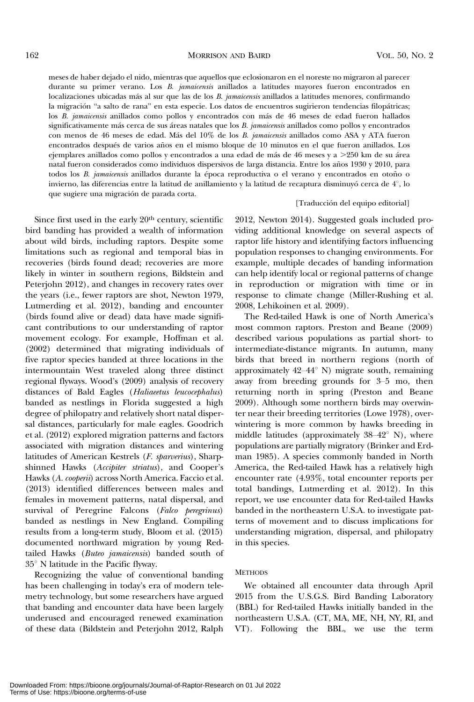meses de haber dejado el nido, mientras que aquellos que eclosionaron en el noreste no migraron al parecer durante su primer verano. Los B. jamaicensis anillados a latitudes mayores fueron encontrados en localizaciones ubicadas más al sur que las de los B. jamaicensis anillados a latitudes menores, confirmando la migración "a salto de rana" en esta especie. Los datos de encuentros sugirieron tendencias filopátricas; los B. jamaicensis anillados como pollos y encontrados con más de 46 meses de edad fueron hallados significativamente más cerca de sus áreas natales que los B. jamaicensis anillados como pollos y encontrados con menos de 46 meses de edad. Más del 10% de los B. jamaicensis anillados como ASA y ATA fueron encontrados después de varios años en el mismo bloque de 10 minutos en el que fueron anillados. Los ejemplares anillados como pollos y encontrados a una edad de más de 46 meses y a  $>$ 250 km de su área natal fueron considerados como individuos dispersivos de larga distancia. Entre los años 1930 y 2010, para todos los B. jamaicensis anillados durante la época reproductiva o el verano y encontrados en otoño o invierno, las diferencias entre la latitud de anillamiento y la latitud de recaptura disminuyó cerca de  $4^\circ$ , lo que sugiere una migración de parada corta.

### [Traducción del equipo editorial]

Since first used in the early 20<sup>th</sup> century, scientific bird banding has provided a wealth of information about wild birds, including raptors. Despite some limitations such as regional and temporal bias in recoveries (birds found dead; recoveries are more likely in winter in southern regions, Bildstein and Peterjohn 2012), and changes in recovery rates over the years (i.e., fewer raptors are shot, Newton 1979, Lutmerding et al. 2012), banding and encounter (birds found alive or dead) data have made significant contributions to our understanding of raptor movement ecology. For example, Hoffman et al. (2002) determined that migrating individuals of five raptor species banded at three locations in the intermountain West traveled along three distinct regional flyways. Wood's (2009) analysis of recovery distances of Bald Eagles (Haliaeetus leucocephalus) banded as nestlings in Florida suggested a high degree of philopatry and relatively short natal dispersal distances, particularly for male eagles. Goodrich et al. (2012) explored migration patterns and factors associated with migration distances and wintering latitudes of American Kestrels (F. sparverius), Sharpshinned Hawks (Accipiter striatus), and Cooper's Hawks (A. cooperii) across North America. Faccio et al. (2013) identified differences between males and females in movement patterns, natal dispersal, and survival of Peregrine Falcons (Falco peregrinus) banded as nestlings in New England. Compiling results from a long-term study, Bloom et al. (2015) documented northward migration by young Redtailed Hawks (Buteo jamaicensis) banded south of  $35^\circ$  N latitude in the Pacific flyway.

Recognizing the value of conventional banding has been challenging in today's era of modern telemetry technology, but some researchers have argued that banding and encounter data have been largely underused and encouraged renewed examination of these data (Bildstein and Peterjohn 2012, Ralph

2012, Newton 2014). Suggested goals included providing additional knowledge on several aspects of raptor life history and identifying factors influencing population responses to changing environments. For example, multiple decades of banding information can help identify local or regional patterns of change in reproduction or migration with time or in response to climate change (Miller-Rushing et al. 2008, Lehikoinen et al. 2009).

The Red-tailed Hawk is one of North America's most common raptors. Preston and Beane (2009) described various populations as partial short- to intermediate-distance migrants. In autumn, many birds that breed in northern regions (north of approximately  $42-44^{\circ}$  N) migrate south, remaining away from breeding grounds for 3–5 mo, then returning north in spring (Preston and Beane 2009). Although some northern birds may overwinter near their breeding territories (Lowe 1978), overwintering is more common by hawks breeding in middle latitudes (approximately  $38-42^{\circ}$  N), where populations are partially migratory (Brinker and Erdman 1985). A species commonly banded in North America, the Red-tailed Hawk has a relatively high encounter rate (4.93%, total encounter reports per total bandings, Lutmerding et al. 2012). In this report, we use encounter data for Red-tailed Hawks banded in the northeastern U.S.A. to investigate patterns of movement and to discuss implications for understanding migration, dispersal, and philopatry in this species.

#### **METHODS**

We obtained all encounter data through April 2015 from the U.S.G.S. Bird Banding Laboratory (BBL) for Red-tailed Hawks initially banded in the northeastern U.S.A. (CT, MA, ME, NH, NY, RI, and VT). Following the BBL, we use the term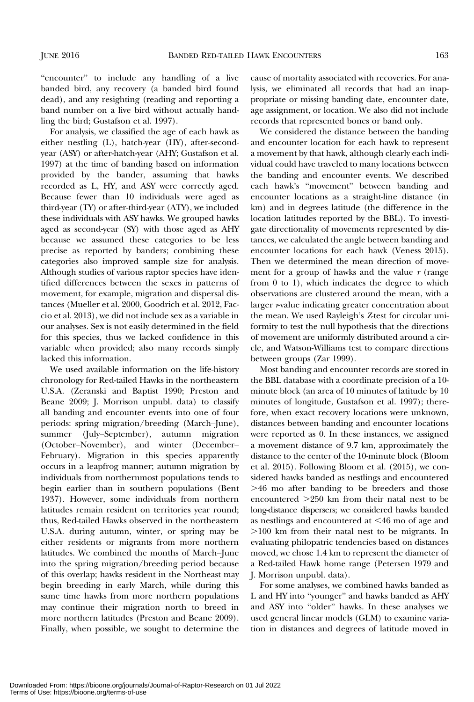"encounter" to include any handling of a live banded bird, any recovery (a banded bird found dead), and any resighting (reading and reporting a band number on a live bird without actually handling the bird; Gustafson et al. 1997).

For analysis, we classified the age of each hawk as either nestling (L), hatch-year (HY), after-secondyear (ASY) or after-hatch-year (AHY; Gustafson et al. 1997) at the time of banding based on information provided by the bander, assuming that hawks recorded as L, HY, and ASY were correctly aged. Because fewer than 10 individuals were aged as third-year (TY) or after-third-year (ATY), we included these individuals with ASY hawks. We grouped hawks aged as second-year (SY) with those aged as AHY because we assumed these categories to be less precise as reported by banders; combining these categories also improved sample size for analysis. Although studies of various raptor species have identified differences between the sexes in patterns of movement, for example, migration and dispersal distances (Mueller et al. 2000, Goodrich et al. 2012, Faccio et al. 2013), we did not include sex as a variable in our analyses. Sex is not easily determined in the field for this species, thus we lacked confidence in this variable when provided; also many records simply lacked this information.

We used available information on the life-history chronology for Red-tailed Hawks in the northeastern U.S.A. (Zeranski and Baptist 1990; Preston and Beane 2009; J. Morrison unpubl. data) to classify all banding and encounter events into one of four periods: spring migration/breeding (March–June), summer (July–September), autumn migration (October–November), and winter (December– February). Migration in this species apparently occurs in a leapfrog manner; autumn migration by individuals from northernmost populations tends to begin earlier than in southern populations (Bent 1937). However, some individuals from northern latitudes remain resident on territories year round; thus, Red-tailed Hawks observed in the northeastern U.S.A. during autumn, winter, or spring may be either residents or migrants from more northern latitudes. We combined the months of March–June into the spring migration/breeding period because of this overlap; hawks resident in the Northeast may begin breeding in early March, while during this same time hawks from more northern populations may continue their migration north to breed in more northern latitudes (Preston and Beane 2009). Finally, when possible, we sought to determine the

cause of mortality associated with recoveries. For analysis, we eliminated all records that had an inappropriate or missing banding date, encounter date, age assignment, or location. We also did not include records that represented bones or band only.

We considered the distance between the banding and encounter location for each hawk to represent a movement by that hawk, although clearly each individual could have traveled to many locations between the banding and encounter events. We described each hawk's "movement" between banding and encounter locations as a straight-line distance (in km) and in degrees latitude (the difference in the location latitudes reported by the BBL). To investigate directionality of movements represented by distances, we calculated the angle between banding and encounter locations for each hawk (Veness 2015). Then we determined the mean direction of movement for a group of hawks and the value  $r$  (range from 0 to 1), which indicates the degree to which observations are clustered around the mean, with a larger r-value indicating greater concentration about the mean. We used Rayleigh's Z-test for circular uniformity to test the null hypothesis that the directions of movement are uniformly distributed around a circle, and Watson-Williams test to compare directions between groups (Zar 1999).

Most banding and encounter records are stored in the BBL database with a coordinate precision of a 10 minute block (an area of 10 minutes of latitude by 10 minutes of longitude, Gustafson et al. 1997); therefore, when exact recovery locations were unknown, distances between banding and encounter locations were reported as 0. In these instances, we assigned a movement distance of 9.7 km, approximately the distance to the center of the 10-minute block (Bloom et al. 2015). Following Bloom et al. (2015), we considered hawks banded as nestlings and encountered  $>46$  mo after banding to be breeders and those encountered  $>250$  km from their natal nest to be long-distance dispersers; we considered hawks banded as nestlings and encountered at  $\leq 46$  mo of age and .100 km from their natal nest to be migrants. In evaluating philopatric tendencies based on distances moved, we chose 1.4 km to represent the diameter of a Red-tailed Hawk home range (Petersen 1979 and J. Morrison unpubl. data).

For some analyses, we combined hawks banded as L and HY into "younger" and hawks banded as AHY and ASY into "older" hawks. In these analyses we used general linear models (GLM) to examine variation in distances and degrees of latitude moved in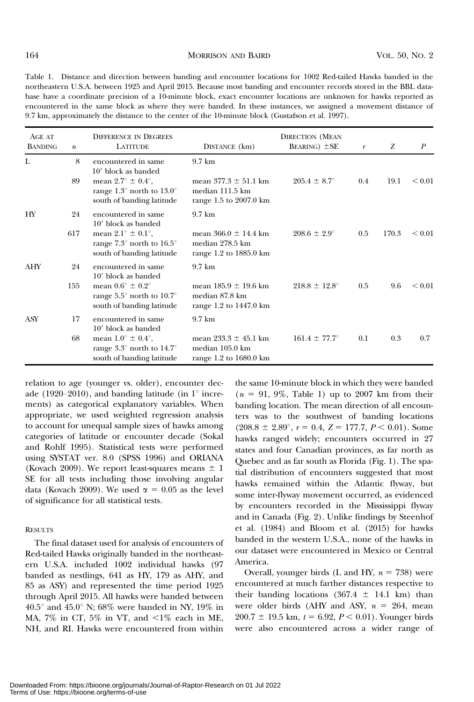Table 1. Distance and direction between banding and encounter locations for 1002 Red-tailed Hawks banded in the northeastern U.S.A. between 1925 and April 2015. Because most banding and encounter records stored in the BBL database have a coordinate precision of a 10-minute block, exact encounter locations are unknown for hawks reported as encountered in the same block as where they were banded. In these instances, we assigned a movement distance of 9.7 km, approximately the distance to the center of the 10-minute block (Gustafson et al. 1997).

| AGE AT<br><b>BANDING</b> | $\boldsymbol{n}$ | <b>DIFFERENCE IN DEGREES</b><br><b>LATITUDE</b>                                                                  | DISTANCE (km)                                                                 | <b>DIRECTION (MEAN</b><br><b>BEARING</b> ) $\pm$ <b>SE</b> | $\boldsymbol{r}$ | Z     | $\boldsymbol{P}$ |
|--------------------------|------------------|------------------------------------------------------------------------------------------------------------------|-------------------------------------------------------------------------------|------------------------------------------------------------|------------------|-------|------------------|
| L                        | 8                | encountered in same<br>10' block as banded                                                                       | $9.7 \text{ km}$                                                              |                                                            |                  |       |                  |
|                          | 89               | mean $2.7^{\circ} \pm 0.4^{\circ}$ ,<br>range 1.3 $\degree$ north to 13.0 $\degree$<br>south of banding latitude | mean $377.3 \pm 51.1$ km<br>median 111.5 km<br>range 1.5 to 2007.0 km         | $205.4 \pm 8.7^{\circ}$                                    | 0.4              | 19.1  | ${}_{0.01}$      |
| HY                       | 24               | encountered in same<br>10' block as banded                                                                       | $9.7 \text{ km}$                                                              |                                                            |                  |       |                  |
|                          | 617              | mean $2.1^{\circ} \pm 0.1^{\circ}$ ,<br>range $7.3^{\circ}$ north to $16.5^{\circ}$<br>south of banding latitude | mean $366.0 \pm 14.4 \text{ km}$<br>median 278.5 km<br>range 1.2 to 1885.0 km | $208.6 \pm 2.9^{\circ}$                                    | 0.5              | 170.3 | ${}_{0.01}$      |
| AHY                      | 24               | encountered in same<br>10' block as banded                                                                       | $9.7 \text{ km}$                                                              |                                                            |                  |       |                  |
|                          | 155              | mean $0.6^{\circ} \pm 0.2^{\circ}$<br>range $5.5^{\circ}$ north to $10.7^{\circ}$<br>south of banding latitude   | mean $185.9 \pm 19.6$ km<br>median 87.8 km<br>range 1.2 to 1447.0 km          | $218.8 \pm 12.8^{\circ}$                                   | 0.5              | 9.6   | ${}_{0.01}$      |
| ASY                      | 17               | encountered in same<br>10' block as banded                                                                       | $9.7 \text{ km}$                                                              |                                                            |                  |       |                  |
|                          | 68               | mean $1.0^{\circ} \pm 0.4^{\circ}$ ,<br>range $3.3^{\circ}$ north to $14.7^{\circ}$<br>south of banding latitude | mean $233.3 \pm 45.1$ km<br>median 105.0 km<br>range $1.2$ to $1680.0$ km     | $161.4 \pm 77.7^{\circ}$                                   | 0.1              | 0.3   | 0.7              |

relation to age (younger vs. older), encounter decade (1920–2010), and banding latitude (in  $1^\circ$  increments) as categorical explanatory variables. When appropriate, we used weighted regression analysis to account for unequal sample sizes of hawks among categories of latitude or encounter decade (Sokal and Rohlf 1995). Statistical tests were performed using SYSTAT ver. 8.0 (SPSS 1996) and ORIANA (Kovach 2009). We report least-squares means  $\pm 1$ SE for all tests including those involving angular data (Kovach 2009). We used  $\alpha = 0.05$  as the level of significance for all statistical tests.

#### **RESULTS**

The final dataset used for analysis of encounters of Red-tailed Hawks originally banded in the northeastern U.S.A. included 1002 individual hawks (97 banded as nestlings, 641 as HY, 179 as AHY, and 85 as ASY) and represented the time period 1925 through April 2015. All hawks were banded between  $40.5^{\circ}$  and  $45.0^{\circ}$  N;  $68\%$  were banded in NY,  $19\%$  in MA,  $7\%$  in CT,  $5\%$  in VT, and  $\leq 1\%$  each in ME, NH, and RI. Hawks were encountered from within

the same 10-minute block in which they were banded  $(n = 91, 9\%,$  Table 1) up to 2007 km from their banding location. The mean direction of all encounters was to the southwest of banding locations  $(208.8 \pm 2.89^{\circ}, r = 0.4, Z = 177.7, P < 0.01)$ . Some hawks ranged widely; encounters occurred in 27 states and four Canadian provinces, as far north as Quebec and as far south as Florida (Fig. 1). The spatial distribution of encounters suggested that most hawks remained within the Atlantic flyway, but some inter-flyway movement occurred, as evidenced by encounters recorded in the Mississippi flyway and in Canada (Fig. 2). Unlike findings by Steenhof et al. (1984) and Bloom et al. (2015) for hawks banded in the western U.S.A., none of the hawks in our dataset were encountered in Mexico or Central America.

Overall, younger birds (L and HY,  $n = 738$ ) were encountered at much farther distances respective to their banding locations (367.4  $\pm$  14.1 km) than were older birds (AHY and ASY,  $n = 264$ , mean  $200.7 \pm 19.5$  km,  $t = 6.92, P < 0.01$ ). Younger birds were also encountered across a wider range of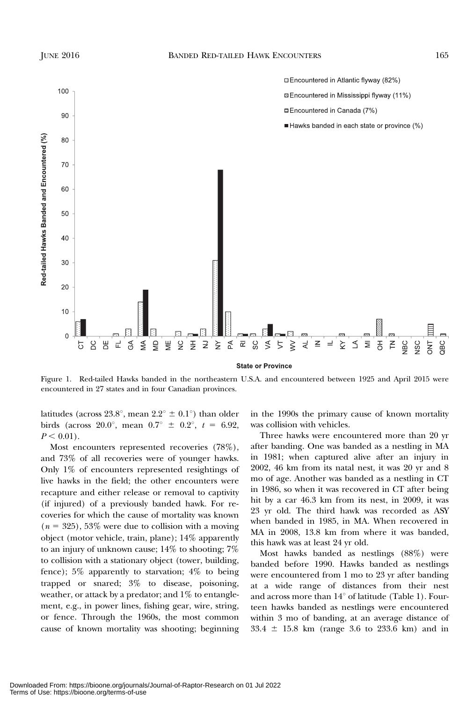

**State or Province** 

Figure 1. Red-tailed Hawks banded in the northeastern U.S.A. and encountered between 1925 and April 2015 were encountered in 27 states and in four Canadian provinces.

latitudes (across 23.8°, mean  $2.2^{\circ} \pm 0.1^{\circ}$ ) than older birds (across 20.0°, mean  $0.7^{\circ} \pm 0.2^{\circ}$ ,  $t = 6.92$ ,  $P < 0.01$ ).

Most encounters represented recoveries (78%), and 73% of all recoveries were of younger hawks. Only 1% of encounters represented resightings of live hawks in the field; the other encounters were recapture and either release or removal to captivity (if injured) of a previously banded hawk. For re‐ coveries for which the cause of mortality was known  $(n = 325)$ , 53% were due to collision with a moving object (motor vehicle, train, plane); 14% apparently to an injury of unknown cause; 14% to shooting; 7% to collision with a stationary object (tower, building, fence); 5% apparently to starvation; 4% to being trapped or snared; 3% to disease, poisoning, weather, or attack by a predator; and 1% to entanglement, e.g., in power lines, fishing gear, wire, string, or fence. Through the 1960s, the most common cause of known mortality was shooting; beginning

in the 1990s the primary cause of known mortality was collision with vehicles.

Three hawks were encountered more than 20 yr after banding. One was banded as a nestling in MA in 1981; when captured alive after an injury in 2002, 46 km from its natal nest, it was 20 yr and 8 mo of age. Another was banded as a nestling in CT in 1986, so when it was recovered in CT after being hit by a car 46.3 km from its nest, in 2009, it was 23 yr old. The third hawk was recorded as ASY when banded in 1985, in MA. When recovered in MA in 2008, 13.8 km from where it was banded, this hawk was at least 24 yr old.

Most hawks banded as nestlings (88%) were banded before 1990. Hawks banded as nestlings were encountered from 1 mo to 23 yr after banding at a wide range of distances from their nest and across more than  $14^{\circ}$  of latitude (Table 1). Fourteen hawks banded as nestlings were encountered within 3 mo of banding, at an average distance of  $33.4 \pm 15.8$  km (range 3.6 to 233.6 km) and in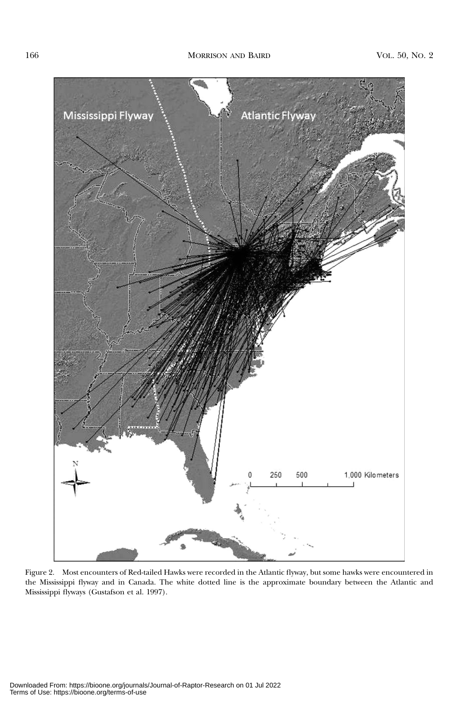

Figure 2. Most encounters of Red-tailed Hawks were recorded in the Atlantic flyway, but some hawks were encountered in the Mississippi flyway and in Canada. The white dotted line is the approximate boundary between the Atlantic and Mississippi flyways (Gustafson et al. 1997).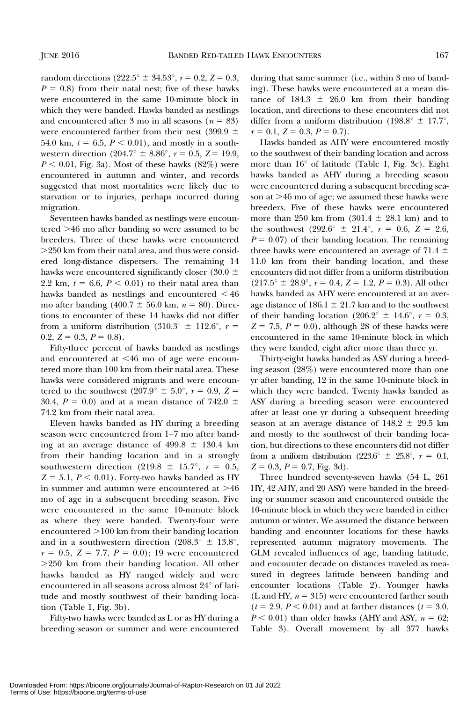random directions (222.5<sup>o</sup>  $\pm$  34.53<sup>o</sup>,  $r = 0.2$ ,  $Z = 0.3$ ,  $P = 0.8$ ) from their natal nest; five of these hawks were encountered in the same 10-minute block in which they were banded. Hawks banded as nestlings and encountered after 3 mo in all seasons ( $n = 83$ ) were encountered farther from their nest (399.9  $\pm$ 54.0 km,  $t = 6.5, P \le 0.01$ , and mostly in a southwestern direction  $(204.7^{\circ} \pm 8.86^{\circ}, r = 0.5, Z = 19.9,$  $P < 0.01$ , Fig. 3a). Most of these hawks (82%) were encountered in autumn and winter, and records suggested that most mortalities were likely due to starvation or to injuries, perhaps incurred during migration.

Seventeen hawks banded as nestlings were encoun $tered > 46$  mo after banding so were assumed to be breeders. Three of these hawks were encountered  $>250$  km from their natal area, and thus were considered long-distance dispersers. The remaining 14 hawks were encountered significantly closer (30.0  $\pm$ 2.2 km,  $t = 6.6$ ,  $P < 0.01$ ) to their natal area than hawks banded as nestlings and encountered  $\leq 46$ mo after banding (400.7  $\pm$  56.0 km, n = 80). Directions to encounter of these 14 hawks did not differ from a uniform distribution (310.3<sup>o</sup>  $\pm$  112.6<sup>o</sup>, r = 0.2,  $Z = 0.3$ ,  $P = 0.8$ ).

Fifty-three percent of hawks banded as nestlings and encountered at  $\leq 46$  mo of age were encountered more than 100 km from their natal area. These hawks were considered migrants and were encountered to the southwest  $(207.9^{\circ} \pm 5.0^{\circ}, r = 0.9, Z =$ 30.4,  $P = 0.0$ ) and at a mean distance of 742.0  $\pm$ 74.2 km from their natal area.

Eleven hawks banded as HY during a breeding season were encountered from 1–7 mo after banding at an average distance of  $499.8 \pm 130.4$  km from their banding location and in a strongly southwestern direction (219.8  $\pm$  15.7°,  $r = 0.5$ ,  $Z = 5.1, P < 0.01$ ). Forty-two hawks banded as HY in summer and autumn were encountered at  $>46$ mo of age in a subsequent breeding season. Five were encountered in the same 10-minute block as where they were banded. Twenty-four were encountered  $>100$  km from their banding location and in a southwestern direction (208.3 $\degree$  ± 13.8 $\degree$ ,  $r = 0.5, Z = 7.7, P = 0.0; 19$  were encountered  $>250$  km from their banding location. All other hawks banded as HY ranged widely and were encountered in all seasons across almost  $24^{\circ}$  of latitude and mostly southwest of their banding location (Table 1, Fig. 3b).

Fifty-two hawks were banded as L or as HY during a breeding season or summer and were encountered

during that same summer (i.e., within 3 mo of banding). These hawks were encountered at a mean distance of  $184.3 \pm 26.0$  km from their banding location, and directions to these encounters did not differ from a uniform distribution (198.8°  $\pm$  17.7°,  $r = 0.1, Z = 0.3, P = 0.7$ .

Hawks banded as AHY were encountered mostly to the southwest of their banding location and across more than  $16^{\circ}$  of latitude (Table 1, Fig. 3c). Eight hawks banded as AHY during a breeding season were encountered during a subsequent breeding season at  $>46$  mo of age; we assumed these hawks were breeders. Five of these hawks were encountered more than 250 km from  $(301.4 \pm 28.1 \text{ km})$  and to the southwest  $(292.6^{\circ} \pm 21.4^{\circ}, r = 0.6, Z = 2.6,$  $P = 0.07$ ) of their banding location. The remaining three hawks were encountered an average of 71.4  $\pm$ 11.0 km from their banding location, and these encounters did not differ from a uniform distribution  $(217.5^{\circ} \pm 28.9^{\circ}, r = 0.4, Z = 1.2, P = 0.3)$ . All other hawks banded as AHY were encountered at an average distance of 186.1  $\pm$  21.7 km and to the southwest of their banding location (206.2<sup>o</sup>  $\pm$  14.6<sup>o</sup>,  $r = 0.3$ ,  $Z = 7.5$ ,  $P = 0.0$ , although 28 of these hawks were encountered in the same 10-minute block in which they were banded, eight after more than three yr.

Thirty-eight hawks banded as ASY during a breeding season (28%) were encountered more than one yr after banding, 12 in the same 10-minute block in which they were banded. Twenty hawks banded as ASY during a breeding season were encountered after at least one yr during a subsequent breeding season at an average distance of  $148.2 \pm 29.5$  km and mostly to the southwest of their banding location, but directions to these encounters did not differ from a uniform distribution (223.6°  $\pm$  25.8°,  $r = 0.1$ ,  $Z = 0.3, P = 0.7,$  Fig. 3d).

Three hundred seventy-seven hawks (54 L, 261 HY, 42 AHY, and 20 ASY) were banded in the breeding or summer season and encountered outside the 10-minute block in which they were banded in either autumn or winter. We assumed the distance between banding and encounter locations for these hawks represented autumn migratory movements. The GLM revealed influences of age, banding latitude, and encounter decade on distances traveled as measured in degrees latitude between banding and encounter locations (Table 2). Younger hawks (L and HY,  $n = 315$ ) were encountered farther south  $(t = 2.9, P < 0.01)$  and at farther distances  $(t = 3.0,$  $P < 0.01$ ) than older hawks (AHY and ASY,  $n = 62$ ; Table 3). Overall movement by all 377 hawks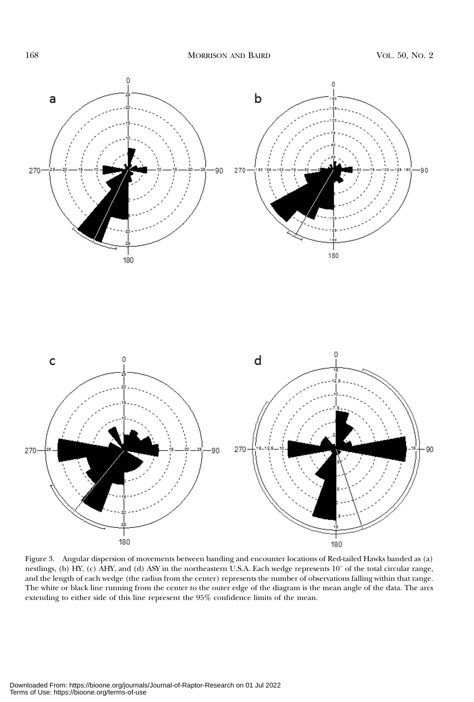

Figure 3. Angular dispersion of movements between banding and encounter locations of Red-tailed Hawks banded as (a) nestlings, (b) HY, (c) AHY, and (d) ASY in the northeastern U.S.A. Each wedge represents  $10^{\circ}$  of the total circular range, and the length of each wedge (the radius from the center) represents the number of observations falling within that range. The white or black line running from the center to the outer edge of the diagram is the mean angle of the data. The arcs extending to either side of this line represent the 95% confidence limits of the mean.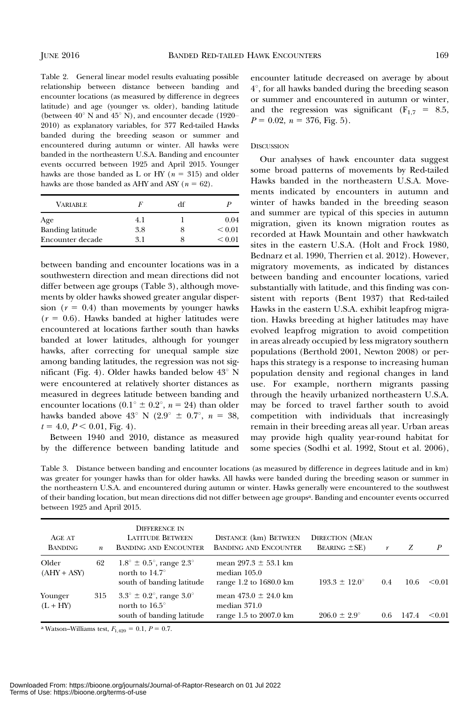Table 2. General linear model results evaluating possible relationship between distance between banding and encounter locations (as measured by difference in degrees latitude) and age (younger vs. older), banding latitude (between  $40^{\circ}$  N and  $45^{\circ}$  N), and encounter decade (1920– 2010) as explanatory variables, for 377 Red-tailed Hawks banded during the breeding season or summer and encountered during autumn or winter. All hawks were banded in the northeastern U.S.A. Banding and encounter events occurred between 1925 and April 2015. Younger hawks are those banded as L or HY ( $n = 315$ ) and older hawks are those banded as AHY and ASY ( $n = 62$ ).

| <b>VARIABLE</b>         | F   | df |             |
|-------------------------|-----|----|-------------|
| Age                     | 4.1 |    | 0.04        |
| <b>Banding latitude</b> | 3.8 |    | ${}_{0.01}$ |
| Encounter decade        | 31  |    | ${}_{0.01}$ |

between banding and encounter locations was in a southwestern direction and mean directions did not differ between age groups (Table 3), although movements by older hawks showed greater angular dispersion  $(r = 0.4)$  than movements by younger hawks  $(r = 0.6)$ . Hawks banded at higher latitudes were encountered at locations farther south than hawks banded at lower latitudes, although for younger hawks, after correcting for unequal sample size among banding latitudes, the regression was not significant (Fig. 4). Older hawks banded below  $43^{\circ}$  N were encountered at relatively shorter distances as measured in degrees latitude between banding and encounter locations (0.1<sup>o</sup>  $\pm$  0.2<sup>o</sup>, n = 24) than older hawks banded above  $43^{\circ}$  N ( $2.9^{\circ} \pm 0.7^{\circ}$ ,  $n = 38$ ,  $t = 4.0, P < 0.01,$  Fig. 4).

Between 1940 and 2010, distance as measured by the difference between banding latitude and encounter latitude decreased on average by about  $4^\circ$ , for all hawks banded during the breeding season or summer and encountered in autumn or winter, and the regression was significant ( $F_{1,7} = 8.5$ ,  $P = 0.02$ ,  $n = 376$ , Fig. 5).

#### **DISCUSSION**

Our analyses of hawk encounter data suggest some broad patterns of movements by Red-tailed Hawks banded in the northeastern U.S.A. Movements indicated by encounters in autumn and winter of hawks banded in the breeding season and summer are typical of this species in autumn migration, given its known migration routes as recorded at Hawk Mountain and other hawkwatch sites in the eastern U.S.A. (Holt and Frock 1980, Bednarz et al. 1990, Therrien et al. 2012). However, migratory movements, as indicated by distances between banding and encounter locations, varied substantially with latitude, and this finding was consistent with reports (Bent 1937) that Red-tailed Hawks in the eastern U.S.A. exhibit leapfrog migration. Hawks breeding at higher latitudes may have evolved leapfrog migration to avoid competition in areas already occupied by less migratory southern populations (Berthold 2001, Newton 2008) or perhaps this strategy is a response to increasing human population density and regional changes in land use. For example, northern migrants passing through the heavily urbanized northeastern U.S.A. may be forced to travel farther south to avoid competition with individuals that increasingly remain in their breeding areas all year. Urban areas may provide high quality year-round habitat for some species (Sodhi et al. 1992, Stout et al. 2006),

Table 3. Distance between banding and encounter locations (as measured by difference in degrees latitude and in km) was greater for younger hawks than for older hawks. All hawks were banded during the breeding season or summer in the northeastern U.S.A. and encountered during autumn or winter. Hawks generally were encountered to the southwest of their banding location, but mean directions did not differ between age groupsa. Banding and encounter events occurred between 1925 and April 2015.

| AGE AT<br><b>BANDING</b> | $\boldsymbol{n}$ | <b>DIFFERENCE IN</b><br><b>LATITUDE BETWEEN</b><br><b>BANDING AND ENCOUNTER</b>                           | DISTANCE (km) BETWEEN<br><b>BANDING AND ENCOUNTER</b>                | <b>DIRECTION (MEAN</b><br><b>BEARING</b> $\pm$ <b>SE</b> ) | r   | Z     | P      |
|--------------------------|------------------|-----------------------------------------------------------------------------------------------------------|----------------------------------------------------------------------|------------------------------------------------------------|-----|-------|--------|
| Older<br>$(AHY + ASY)$   | 62               | $1.8^{\circ} \pm 0.5^{\circ}$ , range $2.3^{\circ}$<br>north to $14.7^\circ$<br>south of banding latitude | mean $297.3 \pm 53.1$ km<br>median $105.0$<br>range 1.2 to 1680.0 km | $193.3 \pm 12.0^{\circ}$                                   | 0.4 | 10.6  | < 0.01 |
| Younger<br>$(L + HY)$    | 315              | $3.3^{\circ} \pm 0.2^{\circ}$ , range $3.0^{\circ}$<br>north to $16.5^\circ$<br>south of banding latitude | mean $473.0 \pm 24.0$ km<br>median $371.0$<br>range 1.5 to 2007.0 km | $206.0 \pm 2.9^{\circ}$                                    | 0.6 | 147.4 | <0.01  |

<sup>a</sup> Watson–Williams test,  $F_{1,420} = 0.1, P = 0.7$ .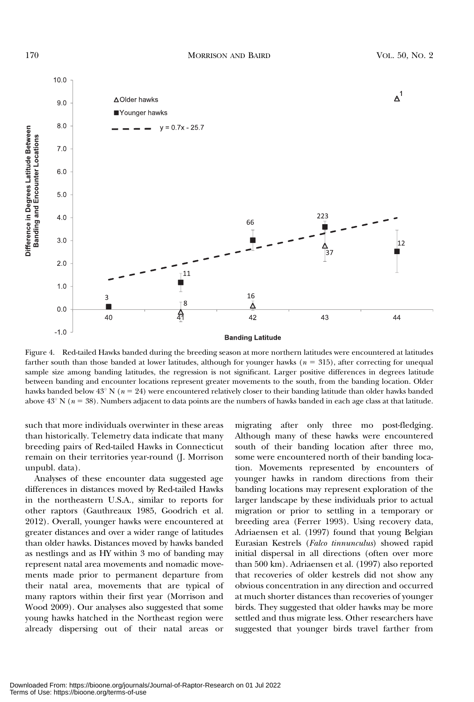

Figure 4. Red-tailed Hawks banded during the breeding season at more northern latitudes were encountered at latitudes farther south than those banded at lower latitudes, although for younger hawks  $(n = 315)$ , after correcting for unequal sample size among banding latitudes, the regression is not significant. Larger positive differences in degrees latitude between banding and encounter locations represent greater movements to the south, from the banding location. Older hawks banded below  $43^{\circ}$  N ( $n = 24$ ) were encountered relatively closer to their banding latitude than older hawks banded above  $43^{\circ}$  N ( $n = 38$ ). Numbers adjacent to data points are the numbers of hawks banded in each age class at that latitude.

such that more individuals overwinter in these areas than historically. Telemetry data indicate that many breeding pairs of Red-tailed Hawks in Connecticut remain on their territories year-round (J. Morrison unpubl. data).

Analyses of these encounter data suggested age differences in distances moved by Red-tailed Hawks in the northeastern U.S.A., similar to reports for other raptors (Gauthreaux 1985, Goodrich et al. 2012). Overall, younger hawks were encountered at greater distances and over a wider range of latitudes than older hawks. Distances moved by hawks banded as nestlings and as HY within 3 mo of banding may represent natal area movements and nomadic movements made prior to permanent departure from their natal area, movements that are typical of many raptors within their first year (Morrison and Wood 2009). Our analyses also suggested that some young hawks hatched in the Northeast region were already dispersing out of their natal areas or

migrating after only three mo post-fledging. Although many of these hawks were encountered south of their banding location after three mo, some were encountered north of their banding location. Movements represented by encounters of younger hawks in random directions from their banding locations may represent exploration of the larger landscape by these individuals prior to actual migration or prior to settling in a temporary or breeding area (Ferrer 1993). Using recovery data, Adriaensen et al. (1997) found that young Belgian Eurasian Kestrels (Falco tinnunculus) showed rapid initial dispersal in all directions (often over more than 500 km). Adriaensen et al. (1997) also reported that recoveries of older kestrels did not show any obvious concentration in any direction and occurred at much shorter distances than recoveries of younger birds. They suggested that older hawks may be more settled and thus migrate less. Other researchers have suggested that younger birds travel farther from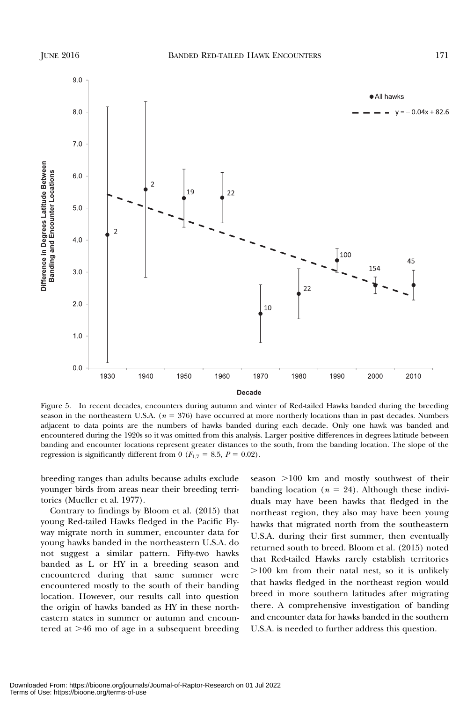

Figure 5. In recent decades, encounters during autumn and winter of Red-tailed Hawks banded during the breeding season in the northeastern U.S.A.  $(n = 376)$  have occurred at more northerly locations than in past decades. Numbers adjacent to data points are the numbers of hawks banded during each decade. Only one hawk was banded and encountered during the 1920s so it was omitted from this analysis. Larger positive differences in degrees latitude between banding and encounter locations represent greater distances to the south, from the banding location. The slope of the regression is significantly different from 0 ( $F_{1,7} = 8.5$ ,  $P = 0.02$ ).

breeding ranges than adults because adults exclude younger birds from areas near their breeding territories (Mueller et al. 1977).

Contrary to findings by Bloom et al. (2015) that young Red-tailed Hawks fledged in the Pacific Flyway migrate north in summer, encounter data for young hawks banded in the northeastern U.S.A. do not suggest a similar pattern. Fifty-two hawks banded as L or HY in a breeding season and encountered during that same summer were encountered mostly to the south of their banding location. However, our results call into question the origin of hawks banded as HY in these northeastern states in summer or autumn and encountered at  $>46$  mo of age in a subsequent breeding  $s$ eason  $>100$  km and mostly southwest of their banding location ( $n = 24$ ). Although these individuals may have been hawks that fledged in the northeast region, they also may have been young hawks that migrated north from the southeastern U.S.A. during their first summer, then eventually returned south to breed. Bloom et al. (2015) noted that Red-tailed Hawks rarely establish territories  $>100$  km from their natal nest, so it is unlikely that hawks fledged in the northeast region would breed in more southern latitudes after migrating there. A comprehensive investigation of banding and encounter data for hawks banded in the southern U.S.A. is needed to further address this question.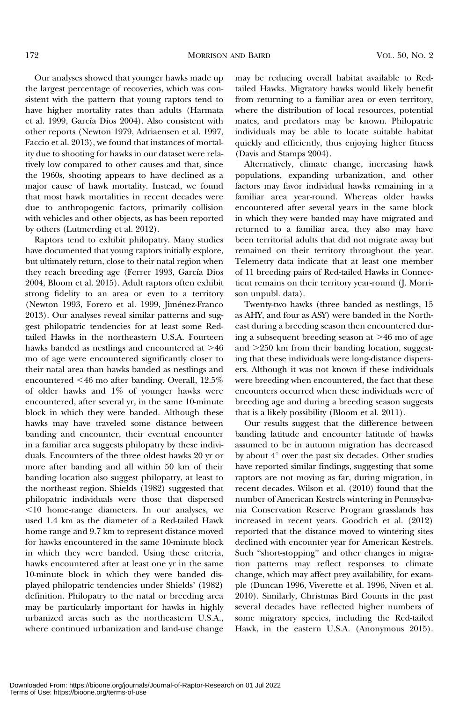Our analyses showed that younger hawks made up the largest percentage of recoveries, which was consistent with the pattern that young raptors tend to have higher mortality rates than adults (Harmata et al. 1999, García Dios 2004). Also consistent with other reports (Newton 1979, Adriaensen et al. 1997, Faccio et al. 2013), we found that instances of mortality due to shooting for hawks in our dataset were relatively low compared to other causes and that, since the 1960s, shooting appears to have declined as a major cause of hawk mortality. Instead, we found that most hawk mortalities in recent decades were due to anthropogenic factors, primarily collision with vehicles and other objects, as has been reported by others (Lutmerding et al. 2012).

Raptors tend to exhibit philopatry. Many studies have documented that young raptors initially explore, but ultimately return, close to their natal region when they reach breeding age (Ferrer 1993, García Dios 2004, Bloom et al. 2015). Adult raptors often exhibit strong fidelity to an area or even to a territory (Newton 1993, Forero et al. 1999, Jiménez-Franco 2013). Our analyses reveal similar patterns and suggest philopatric tendencies for at least some Redtailed Hawks in the northeastern U.S.A. Fourteen hawks banded as nestlings and encountered at  $>46$ mo of age were encountered significantly closer to their natal area than hawks banded as nestlings and encountered  $\leq 46$  mo after banding. Overall, 12.5% of older hawks and 1% of younger hawks were encountered, after several yr, in the same 10-minute block in which they were banded. Although these hawks may have traveled some distance between banding and encounter, their eventual encounter in a familiar area suggests philopatry by these individuals. Encounters of the three oldest hawks 20 yr or more after banding and all within 50 km of their banding location also suggest philopatry, at least to the northeast region. Shields (1982) suggested that philopatric individuals were those that dispersed ,10 home-range diameters. In our analyses, we used 1.4 km as the diameter of a Red-tailed Hawk home range and 9.7 km to represent distance moved for hawks encountered in the same 10-minute block in which they were banded. Using these criteria, hawks encountered after at least one yr in the same 10-minute block in which they were banded displayed philopatric tendencies under Shields' (1982) definition. Philopatry to the natal or breeding area may be particularly important for hawks in highly urbanized areas such as the northeastern U.S.A., where continued urbanization and land-use change

may be reducing overall habitat available to Redtailed Hawks. Migratory hawks would likely benefit from returning to a familiar area or even territory, where the distribution of local resources, potential mates, and predators may be known. Philopatric individuals may be able to locate suitable habitat quickly and efficiently, thus enjoying higher fitness (Davis and Stamps 2004).

Alternatively, climate change, increasing hawk populations, expanding urbanization, and other factors may favor individual hawks remaining in a familiar area year-round. Whereas older hawks encountered after several years in the same block in which they were banded may have migrated and returned to a familiar area, they also may have been territorial adults that did not migrate away but remained on their territory throughout the year. Telemetry data indicate that at least one member of 11 breeding pairs of Red-tailed Hawks in Connecticut remains on their territory year-round (J. Morrison unpubl. data).

Twenty-two hawks (three banded as nestlings, 15 as AHY, and four as ASY) were banded in the Northeast during a breeding season then encountered during a subsequent breeding season at  $>46$  mo of age and  $>250$  km from their banding location, suggesting that these individuals were long-distance dispers‐ ers. Although it was not known if these individuals were breeding when encountered, the fact that these encounters occurred when these individuals were of breeding age and during a breeding season suggests that is a likely possibility (Bloom et al. 2011).

Our results suggest that the difference between banding latitude and encounter latitude of hawks assumed to be in autumn migration has decreased by about  $4^\circ$  over the past six decades. Other studies have reported similar findings, suggesting that some raptors are not moving as far, during migration, in recent decades. Wilson et al. (2010) found that the number of American Kestrels wintering in Pennsylvania Conservation Reserve Program grasslands has increased in recent years. Goodrich et al. (2012) reported that the distance moved to wintering sites declined with encounter year for American Kestrels. Such "short-stopping" and other changes in migration patterns may reflect responses to climate change, which may affect prey availability, for example (Duncan 1996, Viverette et al. 1996, Niven et al. 2010). Similarly, Christmas Bird Counts in the past several decades have reflected higher numbers of some migratory species, including the Red-tailed Hawk, in the eastern U.S.A. (Anonymous 2015).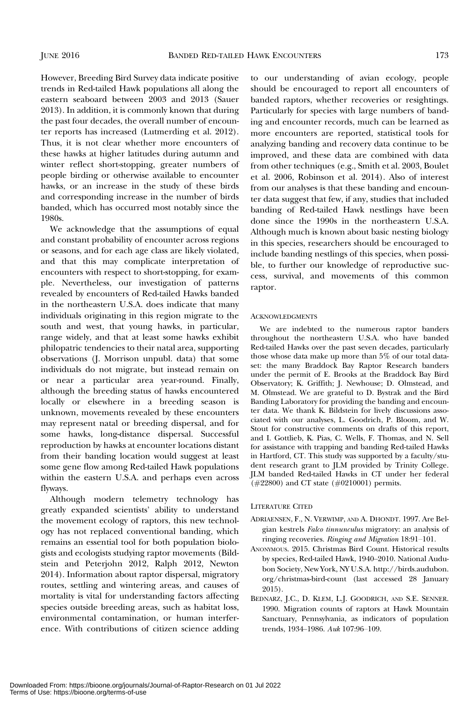However, Breeding Bird Survey data indicate positive trends in Red-tailed Hawk populations all along the eastern seaboard between 2003 and 2013 (Sauer 2013). In addition, it is commonly known that during the past four decades, the overall number of encounter reports has increased (Lutmerding et al. 2012). Thus, it is not clear whether more encounters of these hawks at higher latitudes during autumn and winter reflect short-stopping, greater numbers of people birding or otherwise available to encounter hawks, or an increase in the study of these birds and corresponding increase in the number of birds banded, which has occurred most notably since the 1980s.

We acknowledge that the assumptions of equal and constant probability of encounter across regions or seasons, and for each age class are likely violated, and that this may complicate interpretation of encounters with respect to short-stopping, for example. Nevertheless, our investigation of patterns revealed by encounters of Red-tailed Hawks banded in the northeastern U.S.A. does indicate that many individuals originating in this region migrate to the south and west, that young hawks, in particular, range widely, and that at least some hawks exhibit philopatric tendencies to their natal area, supporting observations (J. Morrison unpubl. data) that some individuals do not migrate, but instead remain on or near a particular area year-round. Finally, although the breeding status of hawks encountered locally or elsewhere in a breeding season is unknown, movements revealed by these encounters may represent natal or breeding dispersal, and for some hawks, long-distance dispersal. Successful reproduction by hawks at encounter locations distant from their banding location would suggest at least some gene flow among Red-tailed Hawk populations within the eastern U.S.A. and perhaps even across flyways.

Although modern telemetry technology has greatly expanded scientists' ability to understand the movement ecology of raptors, this new technology has not replaced conventional banding, which remains an essential tool for both population biologists and ecologists studying raptor movements (Bildstein and Peterjohn 2012, Ralph 2012, Newton 2014). Information about raptor dispersal, migratory routes, settling and wintering areas, and causes of mortality is vital for understanding factors affecting species outside breeding areas, such as habitat loss, environmental contamination, or human interference. With contributions of citizen science adding

to our understanding of avian ecology, people should be encouraged to report all encounters of banded raptors, whether recoveries or resightings. Particularly for species with large numbers of banding and encounter records, much can be learned as more encounters are reported, statistical tools for analyzing banding and recovery data continue to be improved, and these data are combined with data from other techniques (e.g., Smith et al. 2003, Boulet et al. 2006, Robinson et al. 2014). Also of interest from our analyses is that these banding and encounter data suggest that few, if any, studies that included banding of Red-tailed Hawk nestlings have been done since the 1990s in the northeastern U.S.A. Although much is known about basic nesting biology in this species, researchers should be encouraged to include banding nestlings of this species, when possible, to further our knowledge of reproductive success, survival, and movements of this common raptor.

#### ACKNOWLEDGMENTS

We are indebted to the numerous raptor banders throughout the northeastern U.S.A. who have banded Red-tailed Hawks over the past seven decades, particularly those whose data make up more than 5% of our total dataset: the many Braddock Bay Raptor Research banders under the permit of E. Brooks at the Braddock Bay Bird Observatory; K. Griffith; J. Newhouse; D. Olmstead, and M. Olmstead. We are grateful to D. Bystrak and the Bird Banding Laboratory for providing the banding and encounter data. We thank K. Bildstein for lively discussions associated with our analyses, L. Goodrich, P. Bloom, and W. Stout for constructive comments on drafts of this report, and I. Gottlieb, K. Pias, C. Wells, F. Thomas, and N. Sell for assistance with trapping and banding Red-tailed Hawks in Hartford, CT. This study was supported by a faculty/student research grant to JLM provided by Trinity College. JLM banded Red-tailed Hawks in CT under her federal (#22800) and CT state (#0210001) permits.

#### LITERATURE CITED

- ADRIAENSEN, F., N. VERWIMP, AND A. DHONDT. 1997. Are Belgian kestrels Falco tinnunculus migratory: an analysis of ringing recoveries. Ringing and Migration 18:91–101.
- ANONYMOUS. 2015. Christmas Bird Count. Historical results by species, Red-tailed Hawk, 1940–2010. National Audubon Society, New York, NY U.S.A. http://birds.audubon. org/christmas-bird-count (last accessed 28 January 2015).
- BEDNARZ, J.C., D. KLEM, L.J. GOODRICH, AND S.E. SENNER. 1990. Migration counts of raptors at Hawk Mountain Sanctuary, Pennsylvania, as indicators of population trends, 1934–1986. Auk 107:96–109.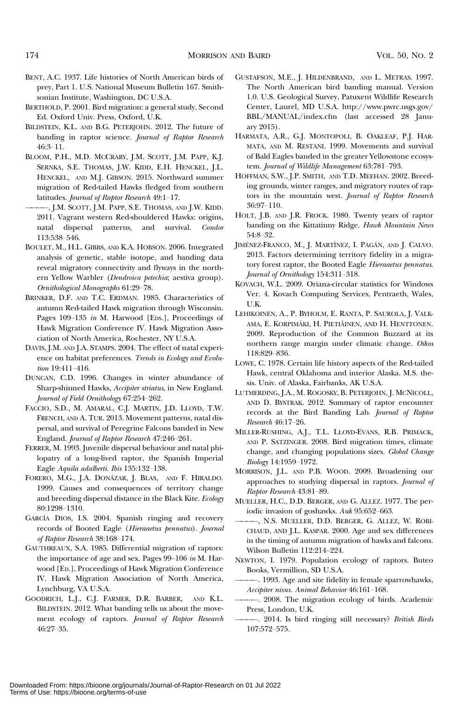- BENT, A.C. 1937. Life histories of North American birds of prey, Part 1. U.S. National Museum Bulletin 167. Smithsonian Institute, Washington, DC U.S.A.
- BERTHOLD, P. 2001. Bird migration: a general study, Second Ed. Oxford Univ. Press, Oxford, U.K.
- BILDSTEIN, K.L. AND B.G. PETERJOHN. 2012. The future of banding in raptor science. Journal of Raptor Research 46:3–11.
- BLOOM, P.H., M.D. MCCRARY, J.M. SCOTT, J.M. PAPP, K.J. SERNKA, S.E. THOMAS, J.W. KIDD, E.H. HENCKEL, J.L. HENCKEL, AND M.J. GIBSON. 2015. Northward summer migration of Red-tailed Hawks fledged from southern latitudes. Journal of Raptor Research 49:1–17.
- ————, J.M. SCOTT, J.M. PAPP, S.E. THOMAS, AND J.W. KIDD. 2011. Vagrant western Red-shouldered Hawks: origins, natal dispersal patterns, and survival. Condor 113:538–546.
- BOULET, M., H.L. GIBBS, AND K.A. HOBSON. 2006. Integrated analysis of genetic, stable isotope, and banding data reveal migratory connectivity and flyways in the northern Yellow Warbler (Dendroica petechia; aestiva group). Ornithological Monographs 61:29–78.
- BRINKER, D.F. AND T.C. ERDMAN. 1985. Characteristics of autumn Red-tailed Hawk migration through Wisconsin. Pages 109–135 in M. Harwood [EDS.], Proceedings of Hawk Migration Conference IV. Hawk Migration Association of North America, Rochester, NY U.S.A.
- DAVIS, J.M. AND J.A. STAMPS. 2004. The effect of natal experience on habitat preferences. Trends in Ecology and Evolution 19:411–416.
- DUNCAN, C.D. 1996. Changes in winter abundance of Sharp-shinned Hawks, Accipiter striatus, in New England. Journal of Field Ornithology 67:254–262.
- FACCIO, S.D., M. AMARAL, C.J. MARTIN, J.D. LLOYD, T.W. FRENCH, AND A. TUR. 2013. Movement patterns, natal dispersal, and survival of Peregrine Falcons banded in New England. Journal of Raptor Research 47:246–261.
- FERRER, M. 1993. Juvenile dispersal behaviour and natal philopatry of a long-lived raptor, the Spanish Imperial Eagle Aquila adalberti. Ibis 135:132–138.
- FORERO, M.G., J.A. DONÁZAR, J. BLAS, AND F. HIRALDO. 1999. Causes and consequences of territory change and breeding dispersal distance in the Black Kite. Ecology 80:1298–1310.
- GARCÍA DIOS, I.S. 2004. Spanish ringing and recovery records of Booted Eagle (Hieraaetus pennatus). Journal of Raptor Research 38:168–174.
- GAUTHREAUX, S.A. 1985. Differential migration of raptors: the importance of age and sex. Pages 99–106 in M. Harwood [ED.], Proceedings of Hawk Migration Conference IV. Hawk Migration Association of North America, Lynchburg, VA U.S.A.
- GOODRICH, L.J., C.J. FARMER, D.R. BARBER, AND K.L. BILDSTEIN. 2012. What banding tells us about the movement ecology of raptors. Journal of Raptor Research 46:27–35.
- GUSTAFSON, M.E., J. HILDENBRAND, AND L. METRAS. 1997. The North American bird banding manual. Version 1.0. U.S. Geological Survey, Patuxent Wildlife Research Center, Laurel, MD U.S.A. http://www.pwrc.usgs.gov/ BBL/MANUAL/index.cfm (last accessed 28 January 2015).
- HARMATA, A.R., G.J. MONTOPOLI, B. OAKLEAF, P.J. HAR-MATA, AND M. RESTANI. 1999. Movements and survival of Bald Eagles banded in the greater Yellowstone ecosystem. Journal of Wildlife Management 63:781–793.
- HOFFMAN, S.W., J.P. SMITH, AND T.D. MEEHAN. 2002. Breeding grounds, winter ranges, and migratory routes of raptors in the mountain west. Journal of Raptor Research 36:97–110.
- HOLT, J.B. AND J.R. FROCK. 1980. Twenty years of raptor banding on the Kittatinny Ridge. Hawk Mountain News 54:8–32.
- JIMÉNEZ-FRANCO, M., J. MARTÍNEZ, I. PAGÁN, AND J. CALVO. 2013. Factors determining territory fidelity in a migratory forest raptor, the Booted Eagle Hieraaetus pennatus. Journal of Ornithology 154:311–318.
- KOVACH, W.L. 2009. Oriana-circular statistics for Windows Ver. 4. Kovach Computing Services, Pentraeth, Wales, U.K.
- LEHIKOINEN, A., P. BYHOLM, E. RANTA, P. SAUROLA, J. VALK-AMA, E. KORPIMÄKI, H. PIETIÄINEN, AND H. HENTTONEN. 2009. Reproduction of the Common Buzzard at its northern range margin under climatic change. Oikos 118:829–836.
- LOWE, C. 1978. Certain life history aspects of the Red-tailed Hawk, central Oklahoma and interior Alaska. M.S. thesis. Univ. of Alaska, Fairbanks, AK U.S.A.
- LUTMERDING, J.A., M. ROGOSKY, B. PETERJOHN, J. MCNICOLL, AND D. BYSTRAK. 2012. Summary of raptor encounter records at the Bird Banding Lab. Journal of Raptor Research 46:17–26.
- MILLER-RUSHING, A.J., T.L. LLOYD-EVANS, R.B. PRIMACK, AND P. SATZINGER. 2008. Bird migration times, climate change, and changing populations sizes. Global Change Biology 14:1959–1972.
- MORRISON, J.L. AND P.B. WOOD. 2009. Broadening our approaches to studying dispersal in raptors. Journal of Raptor Research 43:81–89.
- MUELLER, H.C., D.D. BERGER, AND G. ALLEZ. 1977. The periodic invasion of goshawks. Auk 95:652–663.
- ————, N.S. MUELLER, D.D. BERGER, G. ALLEZ, W. ROBI-CHAUD, AND J.L. KASPAR. 2000. Age and sex differences in the timing of autumn migration of hawks and falcons. Wilson Bulletin 112:214–224.
- NEWTON, I. 1979. Population ecology of raptors. Buteo Books, Vermillion, SD U.S.A.
	- ————. 1993. Age and site fidelity in female sparrowhawks, Accipiter nisus. Animal Behavior 46:161–168.
- ————. 2008. The migration ecology of birds. Academic Press, London, U.K.
- ————. 2014. Is bird ringing still necessary? British Birds 107:572–575.